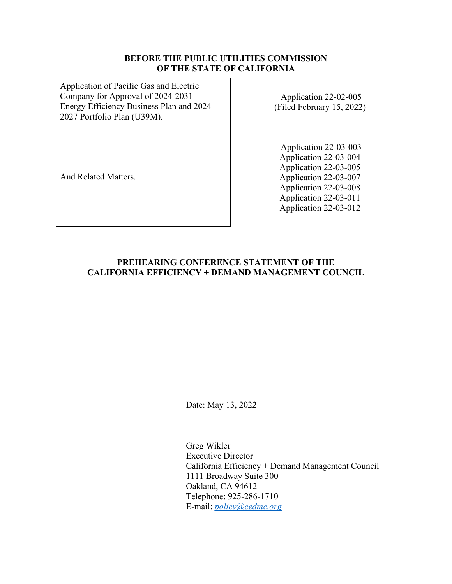## **BEFORE THE PUBLIC UTILITIES COMMISSION OF THE STATE OF CALIFORNIA**

| Application of Pacific Gas and Electric<br>Company for Approval of 2024-2031<br>Energy Efficiency Business Plan and 2024-<br>2027 Portfolio Plan (U39M). | Application 22-02-005<br>(Filed February 15, 2022)                                                                                                                          |
|----------------------------------------------------------------------------------------------------------------------------------------------------------|-----------------------------------------------------------------------------------------------------------------------------------------------------------------------------|
| And Related Matters.                                                                                                                                     | Application 22-03-003<br>Application 22-03-004<br>Application 22-03-005<br>Application 22-03-007<br>Application 22-03-008<br>Application 22-03-011<br>Application 22-03-012 |

## **PREHEARING CONFERENCE STATEMENT OF THE CALIFORNIA EFFICIENCY + DEMAND MANAGEMENT COUNCIL**

Date: May 13, 2022

Greg Wikler Executive Director California Efficiency + Demand Management Council 1111 Broadway Suite 300 Oakland, CA 94612 Telephone: 925-286-1710 E-mail: *[policy@cedmc.org](about:blank)*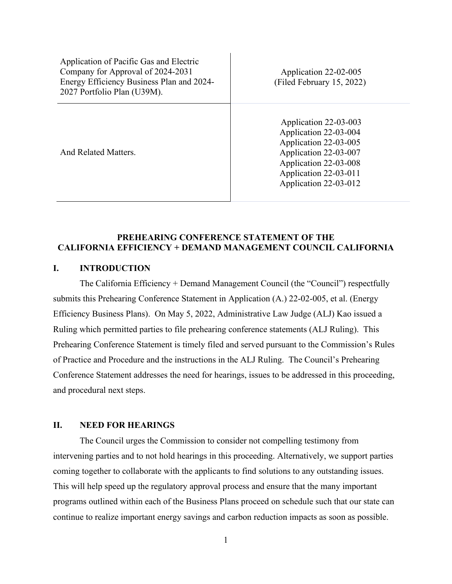| Application of Pacific Gas and Electric<br>Company for Approval of 2024-2031<br>Energy Efficiency Business Plan and 2024-<br>2027 Portfolio Plan (U39M). | Application 22-02-005<br>(Filed February 15, 2022)                                                                                                                          |
|----------------------------------------------------------------------------------------------------------------------------------------------------------|-----------------------------------------------------------------------------------------------------------------------------------------------------------------------------|
| And Related Matters.                                                                                                                                     | Application 22-03-003<br>Application 22-03-004<br>Application 22-03-005<br>Application 22-03-007<br>Application 22-03-008<br>Application 22-03-011<br>Application 22-03-012 |

## **PREHEARING CONFERENCE STATEMENT OF THE CALIFORNIA EFFICIENCY + DEMAND MANAGEMENT COUNCIL CALIFORNIA**

## **I. INTRODUCTION**

The California Efficiency + Demand Management Council (the "Council") respectfully submits this Prehearing Conference Statement in Application (A.) 22-02-005, et al. (Energy Efficiency Business Plans). On May 5, 2022, Administrative Law Judge (ALJ) Kao issued a Ruling which permitted parties to file prehearing conference statements (ALJ Ruling). This Prehearing Conference Statement is timely filed and served pursuant to the Commission's Rules of Practice and Procedure and the instructions in the ALJ Ruling. The Council's Prehearing Conference Statement addresses the need for hearings, issues to be addressed in this proceeding, and procedural next steps.

#### **II. NEED FOR HEARINGS**

The Council urges the Commission to consider not compelling testimony from intervening parties and to not hold hearings in this proceeding. Alternatively, we support parties coming together to collaborate with the applicants to find solutions to any outstanding issues. This will help speed up the regulatory approval process and ensure that the many important programs outlined within each of the Business Plans proceed on schedule such that our state can continue to realize important energy savings and carbon reduction impacts as soon as possible.

1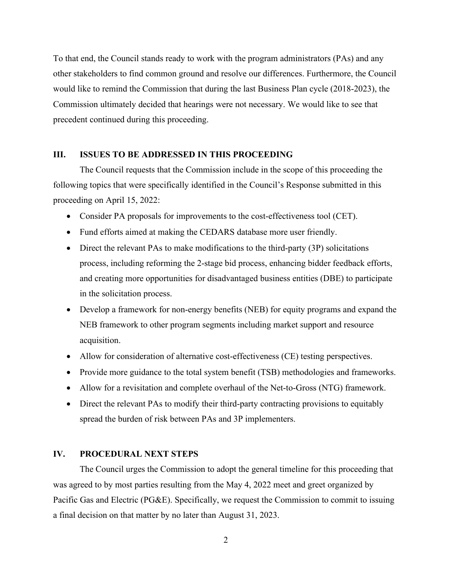To that end, the Council stands ready to work with the program administrators (PAs) and any other stakeholders to find common ground and resolve our differences. Furthermore, the Council would like to remind the Commission that during the last Business Plan cycle (2018-2023), the Commission ultimately decided that hearings were not necessary. We would like to see that precedent continued during this proceeding.

### **III. ISSUES TO BE ADDRESSED IN THIS PROCEEDING**

The Council requests that the Commission include in the scope of this proceeding the following topics that were specifically identified in the Council's Response submitted in this proceeding on April 15, 2022:

- Consider PA proposals for improvements to the cost-effectiveness tool (CET).
- Fund efforts aimed at making the CEDARS database more user friendly.
- Direct the relevant PAs to make modifications to the third-party (3P) solicitations process, including reforming the 2-stage bid process, enhancing bidder feedback efforts, and creating more opportunities for disadvantaged business entities (DBE) to participate in the solicitation process.
- Develop a framework for non-energy benefits (NEB) for equity programs and expand the NEB framework to other program segments including market support and resource acquisition.
- Allow for consideration of alternative cost-effectiveness (CE) testing perspectives.
- Provide more guidance to the total system benefit (TSB) methodologies and frameworks.
- Allow for a revisitation and complete overhaul of the Net-to-Gross (NTG) framework.
- Direct the relevant PAs to modify their third-party contracting provisions to equitably spread the burden of risk between PAs and 3P implementers.

#### **IV. PROCEDURAL NEXT STEPS**

The Council urges the Commission to adopt the general timeline for this proceeding that was agreed to by most parties resulting from the May 4, 2022 meet and greet organized by Pacific Gas and Electric (PG&E). Specifically, we request the Commission to commit to issuing a final decision on that matter by no later than August 31, 2023.